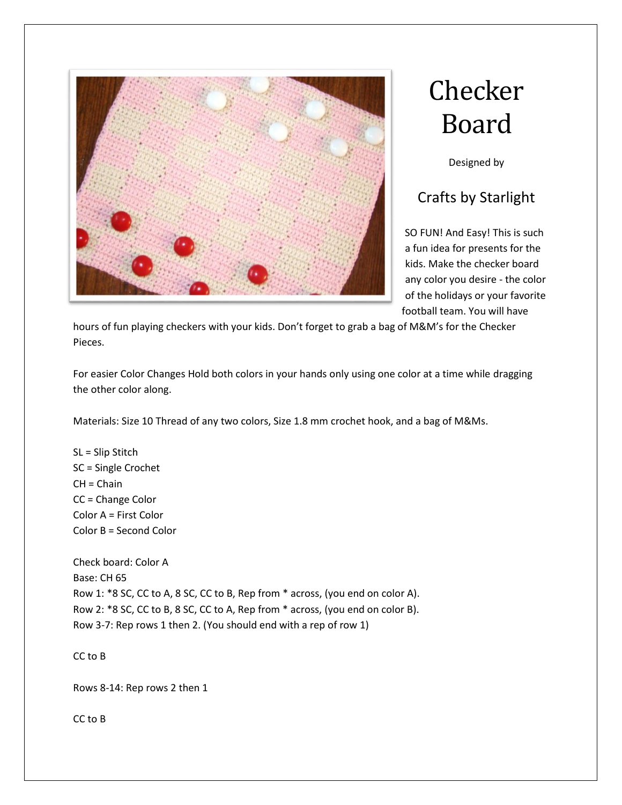

## **Checker** Board

Designed by

## Crafts by Starlight

SO FUN! And Easy! This is such a fun idea for presents for the kids. Make the checker board any color you desire - the color of the holidays or your favorite football team. You will have

hours of fun playing checkers with your kids. Don't forget to grab a bag of M&M's for the Checker Pieces.

For easier Color Changes Hold both colors in your hands only using one color at a time while dragging the other color along.

Materials: Size 10 Thread of any two colors, Size 1.8 mm crochet hook, and a bag of M&Ms.

SL = Slip Stitch SC = Single Crochet  $CH = Chain$ CC = Change Color Color A = First Color Color B = Second Color

Check board: Color A Base: CH 65 Row 1: \*8 SC, CC to A, 8 SC, CC to B, Rep from \* across, (you end on color A). Row 2: \*8 SC, CC to B, 8 SC, CC to A, Rep from \* across, (you end on color B). Row 3-7: Rep rows 1 then 2. (You should end with a rep of row 1)

CC to B

Rows 8-14: Rep rows 2 then 1

CC to B